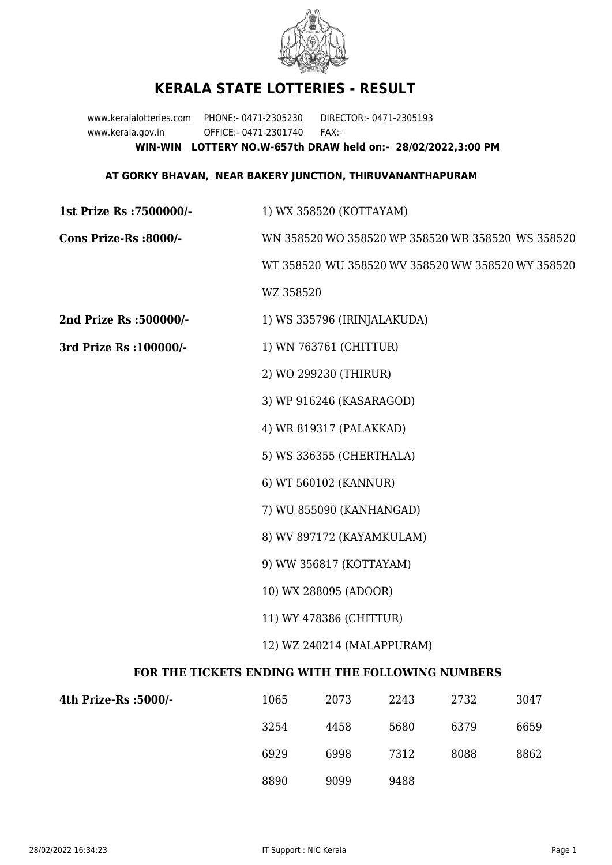

## **KERALA STATE LOTTERIES - RESULT**

www.keralalotteries.com PHONE:- 0471-2305230 DIRECTOR:- 0471-2305193 www.kerala.gov.in OFFICE:- 0471-2301740 FAX:- **WIN-WIN LOTTERY NO.W-657th DRAW held on:- 28/02/2022,3:00 PM**

## **AT GORKY BHAVAN, NEAR BAKERY JUNCTION, THIRUVANANTHAPURAM**

**1st Prize Rs :7500000/-** 1) WX 358520 (KOTTAYAM)

**Cons Prize-Rs :8000/-** WN 358520 WO 358520 WP 358520 WR 358520 WS 358520

WT 358520 WU 358520 WV 358520 WW 358520 WY 358520

WZ 358520

**2nd Prize Rs :500000/-** 1) WS 335796 (IRINJALAKUDA)

- **3rd Prize Rs :100000/-** 1) WN 763761 (CHITTUR)
	- 2) WO 299230 (THIRUR)
	- 3) WP 916246 (KASARAGOD)
	- 4) WR 819317 (PALAKKAD)
	- 5) WS 336355 (CHERTHALA)
	- 6) WT 560102 (KANNUR)
	- 7) WU 855090 (KANHANGAD)
	- 8) WV 897172 (KAYAMKULAM)
	- 9) WW 356817 (KOTTAYAM)
	- 10) WX 288095 (ADOOR)
	- 11) WY 478386 (CHITTUR)
	- 12) WZ 240214 (MALAPPURAM)

## **FOR THE TICKETS ENDING WITH THE FOLLOWING NUMBERS**

| 4th Prize-Rs :5000/- | 1065 | 2073 | 2243 | 2732 | 3047 |
|----------------------|------|------|------|------|------|
|                      | 3254 | 4458 | 5680 | 6379 | 6659 |
|                      | 6929 | 6998 | 7312 | 8088 | 8862 |
|                      | 8890 | 9099 | 9488 |      |      |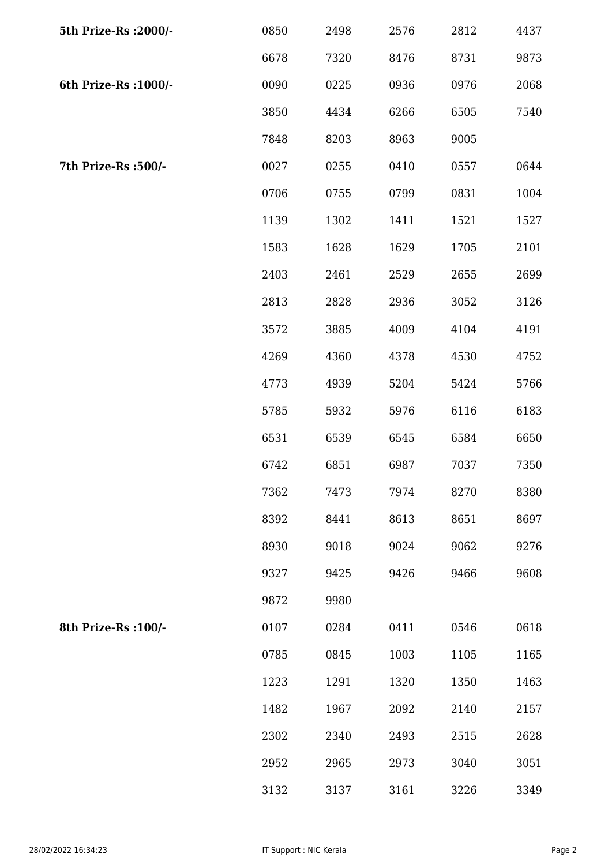| 5th Prize-Rs : 2000/- | 0850 | 2498 | 2576 | 2812 | 4437 |
|-----------------------|------|------|------|------|------|
|                       | 6678 | 7320 | 8476 | 8731 | 9873 |
| 6th Prize-Rs : 1000/- | 0090 | 0225 | 0936 | 0976 | 2068 |
|                       | 3850 | 4434 | 6266 | 6505 | 7540 |
|                       | 7848 | 8203 | 8963 | 9005 |      |
| 7th Prize-Rs :500/-   | 0027 | 0255 | 0410 | 0557 | 0644 |
|                       | 0706 | 0755 | 0799 | 0831 | 1004 |
|                       | 1139 | 1302 | 1411 | 1521 | 1527 |
|                       | 1583 | 1628 | 1629 | 1705 | 2101 |
|                       | 2403 | 2461 | 2529 | 2655 | 2699 |
|                       | 2813 | 2828 | 2936 | 3052 | 3126 |
|                       | 3572 | 3885 | 4009 | 4104 | 4191 |
|                       | 4269 | 4360 | 4378 | 4530 | 4752 |
|                       | 4773 | 4939 | 5204 | 5424 | 5766 |
|                       | 5785 | 5932 | 5976 | 6116 | 6183 |
|                       | 6531 | 6539 | 6545 | 6584 | 6650 |
|                       | 6742 | 6851 | 6987 | 7037 | 7350 |
|                       | 7362 | 7473 | 7974 | 8270 | 8380 |
|                       | 8392 | 8441 | 8613 | 8651 | 8697 |
|                       | 8930 | 9018 | 9024 | 9062 | 9276 |
|                       | 9327 | 9425 | 9426 | 9466 | 9608 |
|                       | 9872 | 9980 |      |      |      |
| 8th Prize-Rs : 100/-  | 0107 | 0284 | 0411 | 0546 | 0618 |
|                       | 0785 | 0845 | 1003 | 1105 | 1165 |
|                       | 1223 | 1291 | 1320 | 1350 | 1463 |
|                       | 1482 | 1967 | 2092 | 2140 | 2157 |
|                       | 2302 | 2340 | 2493 | 2515 | 2628 |
|                       | 2952 | 2965 | 2973 | 3040 | 3051 |
|                       | 3132 | 3137 | 3161 | 3226 | 3349 |